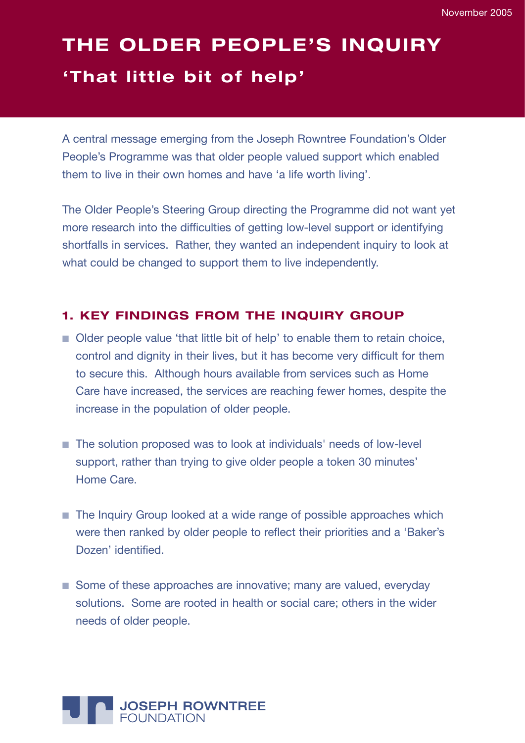# **THE OLDER PEOPLE'S INQUIRY 'That little bit of help '**

A central message emerging from the Joseph Rowntree Foundation's Older People's Programme was that older people valued support which enabled them to live in their own homes and have 'a life worth living'.

The Older People's Steering Group directing the Programme did not want yet more research into the difficulties of getting low-level support or identifying shortfalls in services. Rather, they wanted an independent inquiry to look at what could be changed to support them to live independently.

# **1. KEY FINDINGS FROM THE INQUIRY GROUP**

- Older people value 'that little bit of help' to enable them to retain choice, control and dignity in their lives, but it has become very difficult for them to secure this. Although hours available from services such as Home Care have increased, the services are reaching fewer homes, despite the increase in the population of older people.
- The solution proposed was to look at individuals' needs of low-level support, rather than trying to give older people a token 30 minutes' Home Care.
- The Inquiry Group looked at a wide range of possible approaches which were then ranked by older people to reflect their priorities and a 'Baker's Dozen' identified.
- Some of these approaches are innovative; many are valued, everyday solutions. Some are rooted in health or social care; others in the wider needs of older people.

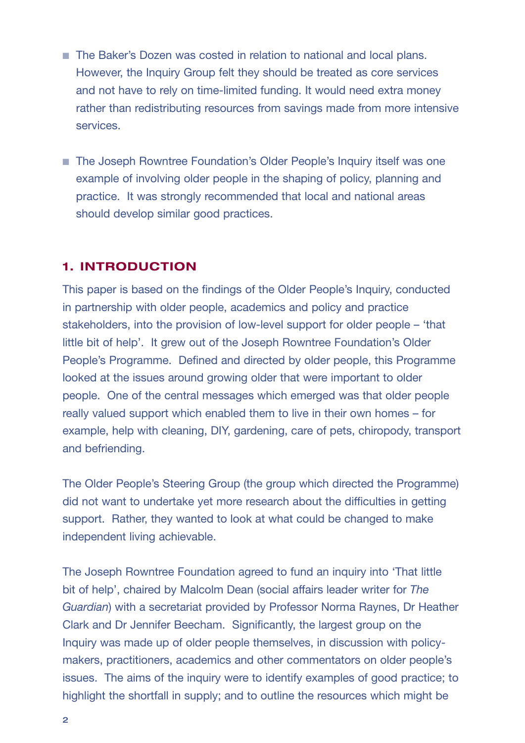- The Baker's Dozen was costed in relation to national and local plans. However, the Inquiry Group felt they should be treated as core services and not have to rely on time-limited funding. It would need extra money rather than redistributing resources from savings made from more intensive services.
- The Joseph Rowntree Foundation's Older People's Inquiry itself was one example of involving older people in the shaping of policy, planning and practice. It was strongly recommended that local and national areas should develop similar good practices.

# **1. INTRODUCTION**

This paper is based on the findings of the Older People's Inquiry, conducted in partnership with older people, academics and policy and practice stakeholders, into the provision of low-level support for older people – 'that little bit of help'. It grew out of the Joseph Rowntree Foundation's Older People's Programme. Defined and directed by older people, this Programme looked at the issues around growing older that were important to older people. One of the central messages which emerged was that older people really valued support which enabled them to live in their own homes – for example, help with cleaning, DIY, gardening, care of pets, chiropody, transport and befriending.

The Older People's Steering Group (the group which directed the Programme) did not want to undertake yet more research about the difficulties in getting support. Rather, they wanted to look at what could be changed to make independent living achievable.

The Joseph Rowntree Foundation agreed to fund an inquiry into 'That little bit of help', chaired by Malcolm Dean (social affairs leader writer for *The Guardian*) with a secretariat provided by Professor Norma Raynes, Dr Heather Clark and Dr Jennifer Beecham. Significantly, the largest group on the Inquiry was made up of older people themselves, in discussion with policymakers, practitioners, academics and other commentators on older people's issues. The aims of the inquiry were to identify examples of good practice; to highlight the shortfall in supply; and to outline the resources which might be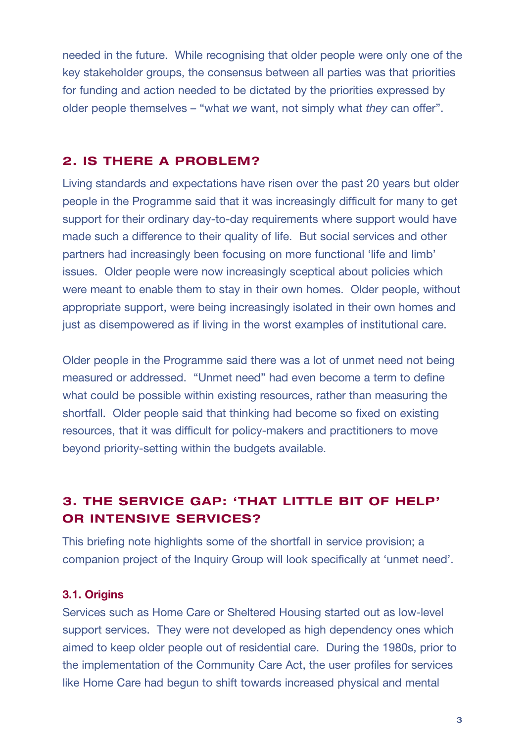needed in the future. While recognising that older people were only one of the key stakeholder groups, the consensus between all parties was that priorities for funding and action needed to be dictated by the priorities expressed by older people themselves – "what *we* want, not simply what *they* can offer".

## **2. IS THERE A PROBLEM?**

Living standards and expectations have risen over the past 20 years but older people in the Programme said that it was increasingly difficult for many to get support for their ordinary day-to-day requirements where support would have made such a difference to their quality of life. But social services and other partners had increasingly been focusing on more functional 'life and limb' issues. Older people were now increasingly sceptical about policies which were meant to enable them to stay in their own homes. Older people, without appropriate support, were being increasingly isolated in their own homes and just as disempowered as if living in the worst examples of institutional care.

Older people in the Programme said there was a lot of unmet need not being measured or addressed. "Unmet need" had even become a term to define what could be possible within existing resources, rather than measuring the shortfall. Older people said that thinking had become so fixed on existing resources, that it was difficult for policy-makers and practitioners to move beyond priority-setting within the budgets available.

# **3. THE SERVICE GAP: 'THAT LITTLE BIT OF HELP' OR INTENSIVE SERVICES?**

This briefing note highlights some of the shortfall in service provision; a companion project of the Inquiry Group will look specifically at 'unmet need'.

#### **3.1. Origins**

Services such as Home Care or Sheltered Housing started out as low-level support services. They were not developed as high dependency ones which aimed to keep older people out of residential care. During the 1980s, prior to the implementation of the Community Care Act, the user profiles for services like Home Care had begun to shift towards increased physical and mental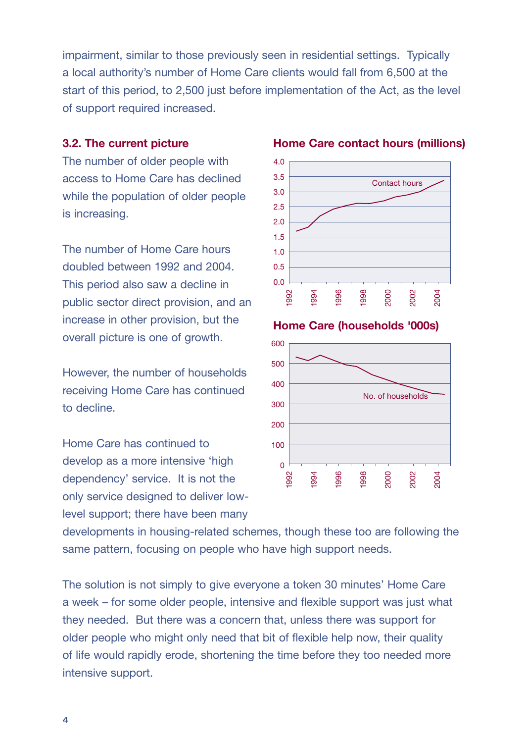4

impairment, similar to those previously seen in residential settings. Typically a local authority's number of Home Care clients would fall from 6,500 at the start of this period, to 2,500 just before implementation of the Act, as the level of support required increased.

#### **3.2. The current picture**

The number of older people with access to Home Care has declined while the population of older people is increasing.

The number of Home Care hours doubled between 1992 and 2004. This period also saw a decline in public sector direct provision, and an increase in other provision, but the overall picture is one of growth.

However, the number of households receiving Home Care has continued to decline.

Home Care has continued to develop as a more intensive 'high dependency' service. It is not the only service designed to deliver lowlevel support; there have been many

developments in housing-related schemes, though these too are following the same pattern, focusing on people who have high support needs.

The solution is not simply to give everyone a token 30 minutes' Home Care a week – for some older people, intensive and flexible support was just what they needed. But there was a concern that, unless there was support for older people who might only need that bit of flexible help now, their quality of life would rapidly erode, shortening the time before they too needed more intensive support.



**Home Care (households '000s)**

**Home Care contact hours (millions)**

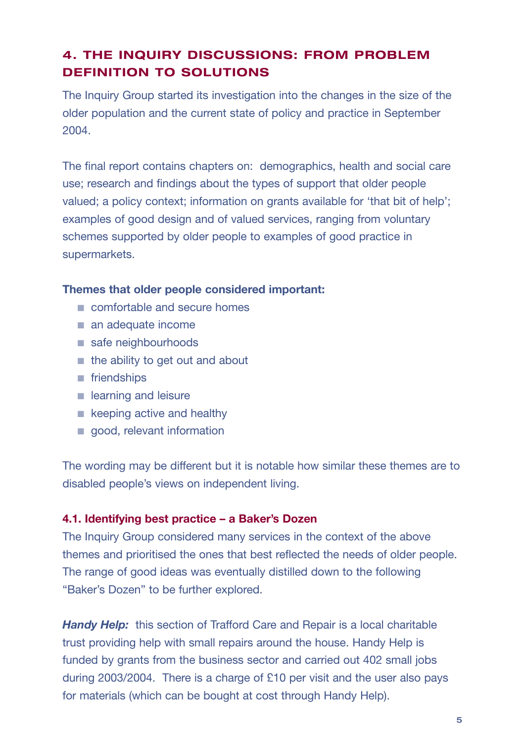# **4. THE INQUIRY DISCUSSIONS: FROM PROBLEM DEFINITION TO SOLUTIONS**

The Inquiry Group started its investigation into the changes in the size of the older population and the current state of policy and practice in September 2004.

The final report contains chapters on: demographics, health and social care use; research and findings about the types of support that older people valued; a policy context; information on grants available for 'that bit of help'; examples of good design and of valued services, ranging from voluntary schemes supported by older people to examples of good practice in supermarkets.

#### **Themes that older people considered important:**

- comfortable and secure homes
- an adequate income
- safe neighbourhoods
- the ability to get out and about
- friendships
- learning and leisure
- keeping active and healthy
- good, relevant information

The wording may be different but it is notable how similar these themes are to disabled people's views on independent living.

## **4.1. Identifying best practice – a Baker's Dozen**

The Inquiry Group considered many services in the context of the above themes and prioritised the ones that best reflected the needs of older people. The range of good ideas was eventually distilled down to the following "Baker's Dozen" to be further explored.

**Handy Help:** this section of Trafford Care and Repair is a local charitable trust providing help with small repairs around the house. Handy Help is funded by grants from the business sector and carried out 402 small jobs during 2003/2004. There is a charge of £10 per visit and the user also pays for materials (which can be bought at cost through Handy Help).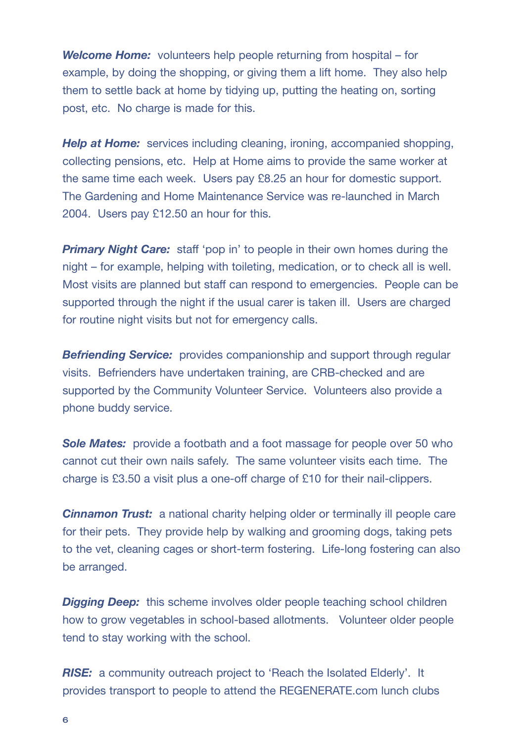*Welcome Home:* volunteers help people returning from hospital – for example, by doing the shopping, or giving them a lift home. They also help them to settle back at home by tidying up, putting the heating on, sorting post, etc. No charge is made for this.

**Help at Home:** services including cleaning, ironing, accompanied shopping, collecting pensions, etc. Help at Home aims to provide the same worker at the same time each week. Users pay £8.25 an hour for domestic support. The Gardening and Home Maintenance Service was re-launched in March 2004. Users pay £12.50 an hour for this.

**Primary Night Care:** staff 'pop in' to people in their own homes during the night – for example, helping with toileting, medication, or to check all is well. Most visits are planned but staff can respond to emergencies. People can be supported through the night if the usual carer is taken ill. Users are charged for routine night visits but not for emergency calls.

**Befriending Service:** provides companionship and support through regular visits. Befrienders have undertaken training, are CRB-checked and are supported by the Community Volunteer Service. Volunteers also provide a phone buddy service.

**Sole Mates:** provide a footbath and a foot massage for people over 50 who cannot cut their own nails safely. The same volunteer visits each time. The charge is £3.50 a visit plus a one-off charge of £10 for their nail-clippers.

**Cinnamon Trust:** a national charity helping older or terminally ill people care for their pets. They provide help by walking and grooming dogs, taking pets to the vet, cleaning cages or short-term fostering. Life-long fostering can also be arranged.

**Digging Deep:** this scheme involves older people teaching school children how to grow vegetables in school-based allotments. Volunteer older people tend to stay working with the school.

**RISE:** a community outreach project to 'Reach the Isolated Elderly'. It provides transport to people to attend the REGENERATE.com lunch clubs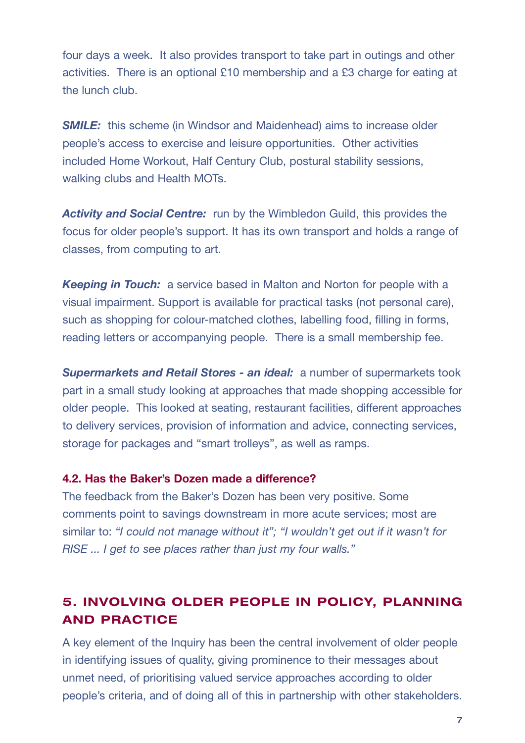four days a week. It also provides transport to take part in outings and other activities. There is an optional £10 membership and a £3 charge for eating at the lunch club.

*SMILE:* this scheme (in Windsor and Maidenhead) aims to increase older people's access to exercise and leisure opportunities. Other activities included Home Workout, Half Century Club, postural stability sessions, walking clubs and Health MOTs.

*Activity and Social Centre:* run by the Wimbledon Guild, this provides the focus for older people's support. It has its own transport and holds a range of classes, from computing to art.

*Keeping in Touch:* a service based in Malton and Norton for people with a visual impairment. Support is available for practical tasks (not personal care), such as shopping for colour-matched clothes, labelling food, filling in forms, reading letters or accompanying people. There is a small membership fee.

*Supermarkets and Retail Stores - an ideal:* a number of supermarkets took part in a small study looking at approaches that made shopping accessible for older people. This looked at seating, restaurant facilities, different approaches to delivery services, provision of information and advice, connecting services, storage for packages and "smart trolleys", as well as ramps.

#### **4.2. Has the Baker's Dozen made a difference?**

The feedback from the Baker's Dozen has been very positive. Some comments point to savings downstream in more acute services; most are similar to: *"I could not manage without it"; "I wouldn't get out if it wasn't for RISE ... I get to see places rather than just my four walls."*

# **5. INVOLVING OLDER PEOPLE IN POLICY, PLANNING AND PRACTICE**

A key element of the Inquiry has been the central involvement of older people in identifying issues of quality, giving prominence to their messages about unmet need, of prioritising valued service approaches according to older people's criteria, and of doing all of this in partnership with other stakeholders.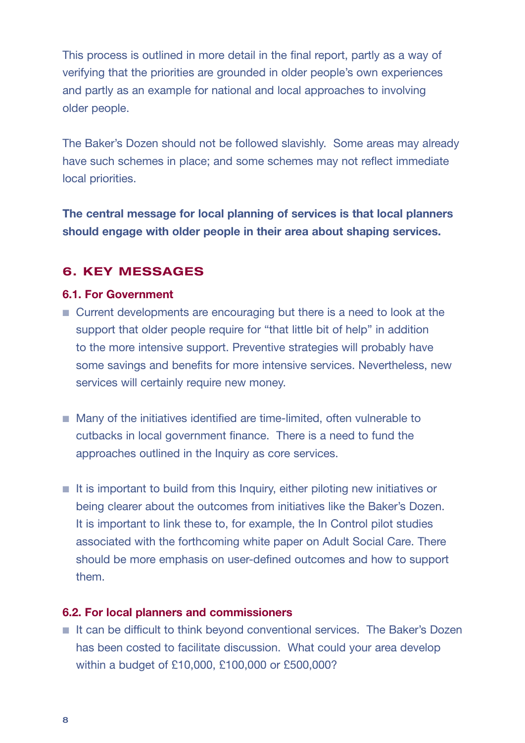This process is outlined in more detail in the final report, partly as a way of verifying that the priorities are grounded in older people's own experiences and partly as an example for national and local approaches to involving older people.

The Baker's Dozen should not be followed slavishly. Some areas may already have such schemes in place; and some schemes may not reflect immediate local priorities.

**The central message for local planning of services is that local planners should engage with older people in their area about shaping services.**

# **6. KEY MESSAGES**

#### **6.1. For Government**

- Current developments are encouraging but there is a need to look at the support that older people require for "that little bit of help" in addition to the more intensive support. Preventive strategies will probably have some savings and benefits for more intensive services. Nevertheless, new services will certainly require new money.
- Many of the initiatives identified are time-limited, often vulnerable to cutbacks in local government finance. There is a need to fund the approaches outlined in the Inquiry as core services.
- It is important to build from this Inquiry, either piloting new initiatives or being clearer about the outcomes from initiatives like the Baker's Dozen. It is important to link these to, for example, the In Control pilot studies associated with the forthcoming white paper on Adult Social Care. There should be more emphasis on user-defined outcomes and how to support them.

#### **6.2. For local planners and commissioners**

■ It can be difficult to think beyond conventional services. The Baker's Dozen has been costed to facilitate discussion. What could your area develop within a budget of £10,000, £100,000 or £500,000?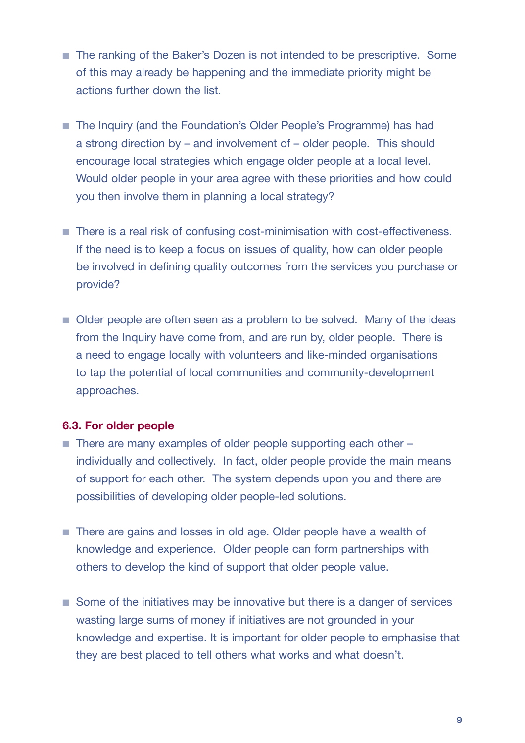- The ranking of the Baker's Dozen is not intended to be prescriptive. Some of this may already be happening and the immediate priority might be actions further down the list.
- The Inquiry (and the Foundation's Older People's Programme) has had a strong direction by – and involvement of – older people. This should encourage local strategies which engage older people at a local level. Would older people in your area agree with these priorities and how could you then involve them in planning a local strategy?
- There is a real risk of confusing cost-minimisation with cost-effectiveness. If the need is to keep a focus on issues of quality, how can older people be involved in defining quality outcomes from the services you purchase or provide?
- Older people are often seen as a problem to be solved. Many of the ideas from the Inquiry have come from, and are run by, older people. There is a need to engage locally with volunteers and like-minded organisations to tap the potential of local communities and community-development approaches.

#### **6.3. For older people**

- There are many examples of older people supporting each other individually and collectively. In fact, older people provide the main means of support for each other. The system depends upon you and there are possibilities of developing older people-led solutions.
- There are gains and losses in old age. Older people have a wealth of knowledge and experience. Older people can form partnerships with others to develop the kind of support that older people value.
- Some of the initiatives may be innovative but there is a danger of services wasting large sums of money if initiatives are not grounded in your knowledge and expertise. It is important for older people to emphasise that they are best placed to tell others what works and what doesn't.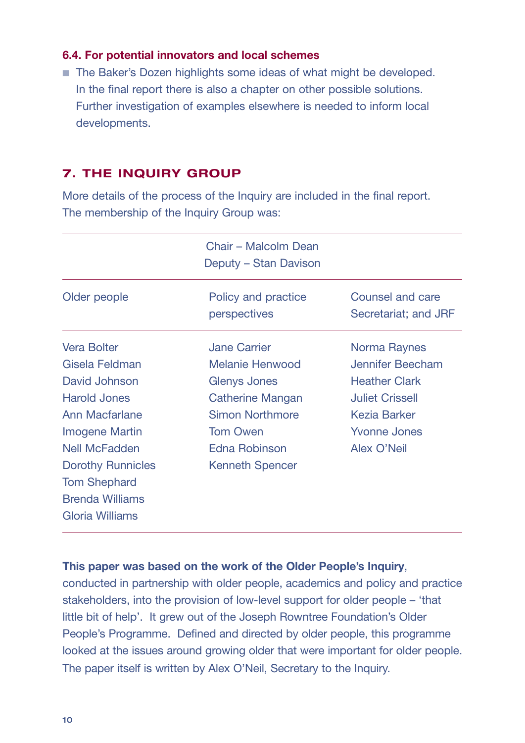#### **6.4. For potential innovators and local schemes**

■ The Baker's Dozen highlights some ideas of what might be developed. In the final report there is also a chapter on other possible solutions. Further investigation of examples elsewhere is needed to inform local developments.

# **7. THE INQUIRY GROUP**

More details of the process of the Inquiry are included in the final report. The membership of the Inquiry Group was:

|                          | Chair – Malcolm Dean<br>Deputy – Stan Davison |                                          |
|--------------------------|-----------------------------------------------|------------------------------------------|
| Older people             | Policy and practice<br>perspectives           | Counsel and care<br>Secretariat; and JRF |
| <b>Vera Bolter</b>       | <b>Jane Carrier</b>                           | Norma Raynes                             |
| Gisela Feldman           | <b>Melanie Henwood</b>                        | <b>Jennifer Beecham</b>                  |
| David Johnson            | <b>Glenys Jones</b>                           | <b>Heather Clark</b>                     |
| <b>Harold Jones</b>      | <b>Catherine Mangan</b>                       | <b>Juliet Crissell</b>                   |
| Ann Macfarlane           | <b>Simon Northmore</b>                        | <b>Kezia Barker</b>                      |
| <b>Imogene Martin</b>    | <b>Tom Owen</b>                               | <b>Yvonne Jones</b>                      |
| <b>Nell McFadden</b>     | <b>Edna Robinson</b>                          | <b>Alex O'Neil</b>                       |
| <b>Dorothy Runnicles</b> | <b>Kenneth Spencer</b>                        |                                          |
| <b>Tom Shephard</b>      |                                               |                                          |
| <b>Brenda Williams</b>   |                                               |                                          |
| <b>Gloria Williams</b>   |                                               |                                          |

#### **This paper was based on the work of the Older People's Inquiry**,

conducted in partnership with older people, academics and policy and practice stakeholders, into the provision of low-level support for older people – 'that little bit of help'. It grew out of the Joseph Rowntree Foundation's Older People's Programme. Defined and directed by older people, this programme looked at the issues around growing older that were important for older people. The paper itself is written by Alex O'Neil, Secretary to the Inquiry.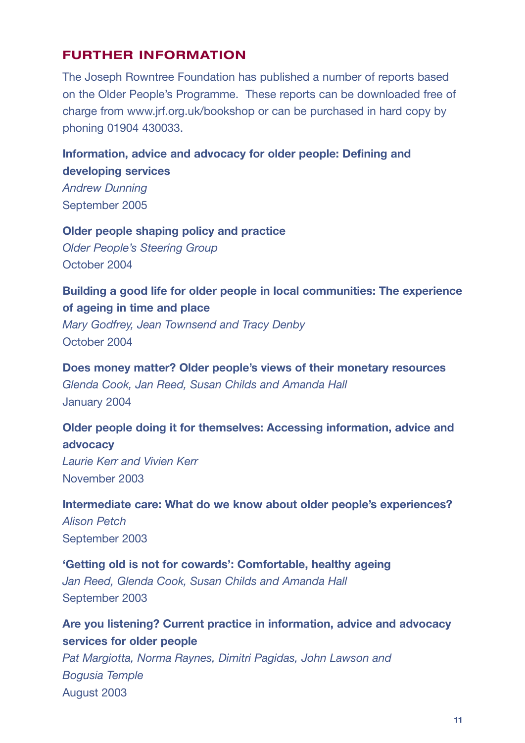# **FURTHER INFORMATION**

The Joseph Rowntree Foundation has published a number of reports based on the Older People's Programme. These reports can be downloaded free of charge from www.jrf.org.uk/bookshop or can be purchased in hard copy by phoning 01904 430033.

# **Information, advice and advocacy for older people: Defining and developing services**

*Andrew Dunning* September 2005

**Older people shaping policy and practice** *Older People's Steering Group* October 2004

# **Building a good life for older people in local communities: The experience of ageing in time and place**

*Mary Godfrey, Jean Townsend and Tracy Denby* October 2004

**Does money matter? Older people's views of their monetary resources** *Glenda Cook, Jan Reed, Susan Childs and Amanda Hall* January 2004

# **Older people doing it for themselves: Accessing information, advice and advocacy**

*Laurie Kerr and Vivien Kerr* November 2003

# **Intermediate care: What do we know about older people's experiences?** *Alison Petch* September 2003

**'Getting old is not for cowards': Comfortable, healthy ageing** *Jan Reed, Glenda Cook, Susan Childs and Amanda Hall* September 2003

**Are you listening? Current practice in information, advice and advocacy services for older people**

*Pat Margiotta, Norma Raynes, Dimitri Pagidas, John Lawson and Bogusia Temple* August 2003